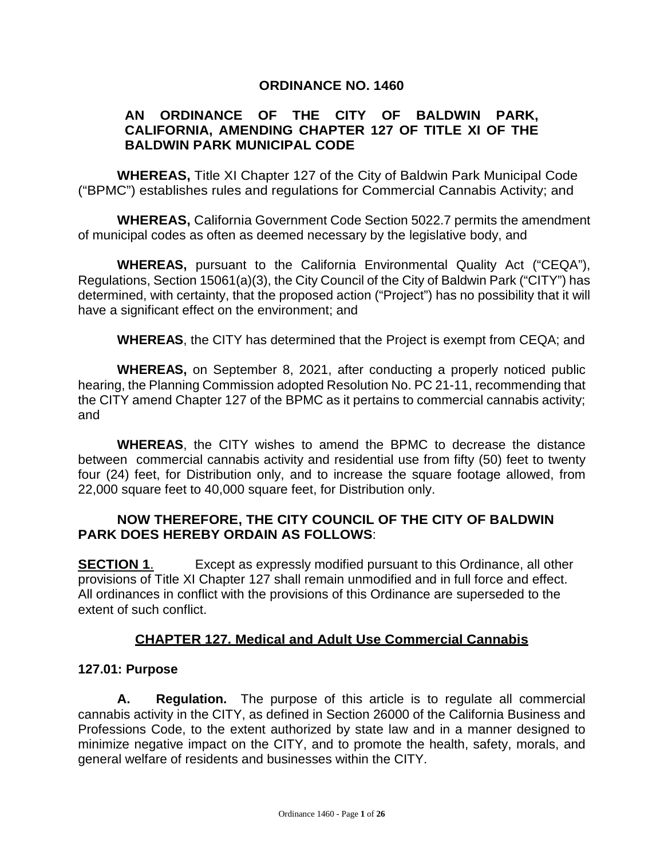#### **ORDINANCE NO. 1460**

#### **AN ORDINANCE OF THE CITY OF BALDWIN PARK, CALIFORNIA, AMENDING CHAPTER 127 OF TITLE XI OF THE BALDWIN PARK MUNICIPAL CODE**

**WHEREAS,** Title XI Chapter 127 of the City of Baldwin Park Municipal Code ("BPMC") establishes rules and regulations for Commercial Cannabis Activity; and

**WHEREAS,** California Government Code Section 5022.7 permits the amendment of municipal codes as often as deemed necessary by the legislative body, and

**WHEREAS,** pursuant to the California Environmental Quality Act ("CEQA"), Regulations, Section 15061(a)(3), the City Council of the City of Baldwin Park ("CITY") has determined, with certainty, that the proposed action ("Project") has no possibility that it will have a significant effect on the environment; and

**WHEREAS**, the CITY has determined that the Project is exempt from CEQA; and

**WHEREAS,** on September 8, 2021, after conducting a properly noticed public hearing, the Planning Commission adopted Resolution No. PC 21-11, recommending that the CITY amend Chapter 127 of the BPMC as it pertains to commercial cannabis activity; and

**WHEREAS**, the CITY wishes to amend the BPMC to decrease the distance between commercial cannabis activity and residential use from fifty (50) feet to twenty four (24) feet, for Distribution only, and to increase the square footage allowed, from 22,000 square feet to 40,000 square feet, for Distribution only.

#### **NOW THEREFORE, THE CITY COUNCIL OF THE CITY OF BALDWIN PARK DOES HEREBY ORDAIN AS FOLLOWS**:

**SECTION 1.** Except as expressly modified pursuant to this Ordinance, all other provisions of Title XI Chapter 127 shall remain unmodified and in full force and effect. All ordinances in conflict with the provisions of this Ordinance are superseded to the extent of such conflict.

#### **CHAPTER 127. Medical and Adult Use Commercial Cannabis**

#### **127.01: Purpose**

**A. Regulation.** The purpose of this article is to regulate all commercial cannabis activity in the CITY, as defined in Section 26000 of the California Business and Professions Code, to the extent authorized by state law and in a manner designed to minimize negative impact on the CITY, and to promote the health, safety, morals, and general welfare of residents and businesses within the CITY.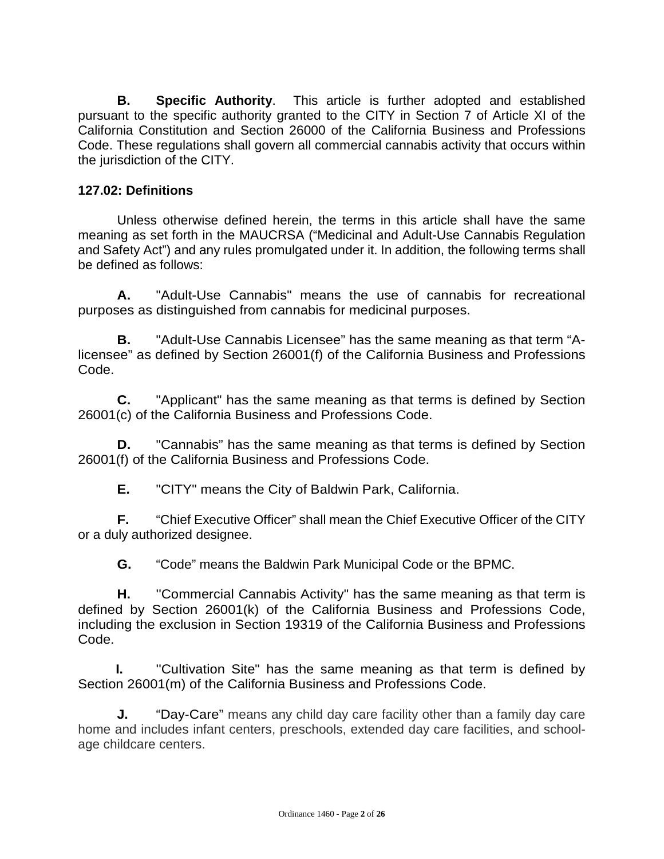**B. Specific Authority**. This article is further adopted and established pursuant to the specific authority granted to the CITY in Section 7 of Article XI of the California Constitution and Section 26000 of the California Business and Professions Code. These regulations shall govern all commercial cannabis activity that occurs within the jurisdiction of the CITY.

#### **127.02: Definitions**

Unless otherwise defined herein, the terms in this article shall have the same meaning as set forth in the MAUCRSA ("Medicinal and Adult-Use Cannabis Regulation and Safety Act") and any rules promulgated under it. In addition, the following terms shall be defined as follows:

**A.** "Adult-Use Cannabis" means the use of cannabis for recreational purposes as distinguished from cannabis for medicinal purposes.

**B.** "Adult-Use Cannabis Licensee" has the same meaning as that term "Alicensee" as defined by Section 26001(f) of the California Business and Professions Code.

**C.** "Applicant" has the same meaning as that terms is defined by Section 26001(c) of the California Business and Professions Code.

**D.** "Cannabis" has the same meaning as that terms is defined by Section 26001(f) of the California Business and Professions Code.

**E.** "CITY" means the City of Baldwin Park, California.

**F.** "Chief Executive Officer" shall mean the Chief Executive Officer of the CITY or a duly authorized designee.

**G.** "Code" means the Baldwin Park Municipal Code or the BPMC.

**H.** ''Commercial Cannabis Activity" has the same meaning as that term is defined by Section 26001(k) of the California Business and Professions Code, including the exclusion in Section 19319 of the California Business and Professions Code.

**I.** ''Cultivation Site" has the same meaning as that term is defined by Section 26001(m) of the California Business and Professions Code.

**J.** "Day-Care" means any child day care facility other than a family day care home and includes infant centers, preschools, extended day care facilities, and schoolage childcare centers.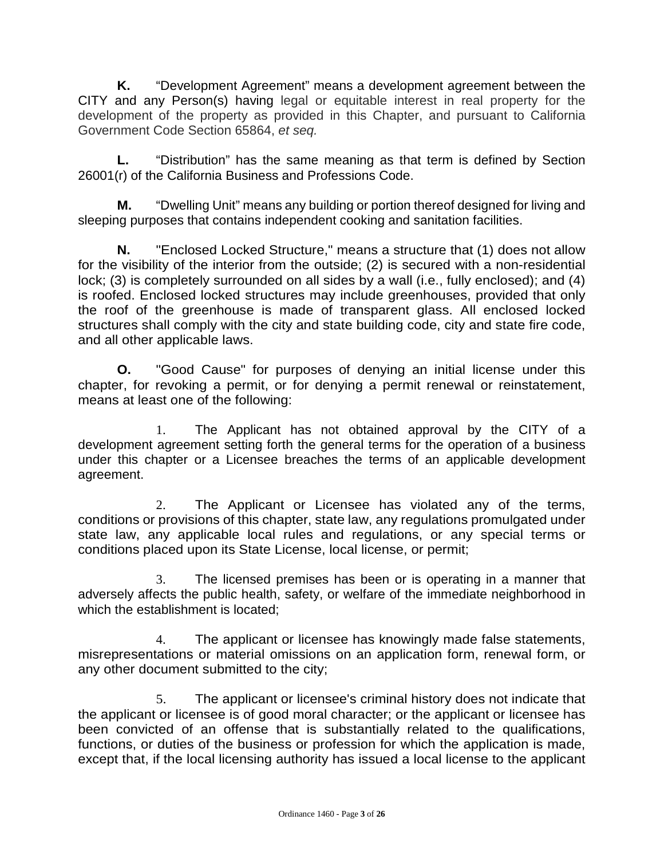**K.** "Development Agreement" means a development agreement between the CITY and any Person(s) having legal or equitable interest in real property for the development of the property as provided in this Chapter, and pursuant to California Government Code Section 65864, *et seq.*

**L.** "Distribution" has the same meaning as that term is defined by Section 26001(r) of the California Business and Professions Code.

**M.** "Dwelling Unit" means any building or portion thereof designed for living and sleeping purposes that contains independent cooking and sanitation facilities.

**N.** "Enclosed Locked Structure," means a structure that (1) does not allow for the visibility of the interior from the outside; (2) is secured with a non-residential lock; (3) is completely surrounded on all sides by a wall (i.e., fully enclosed); and (4) is roofed. Enclosed locked structures may include greenhouses, provided that only the roof of the greenhouse is made of transparent glass. All enclosed locked structures shall comply with the city and state building code, city and state fire code, and all other applicable laws.

**O.** "Good Cause" for purposes of denying an initial license under this chapter, for revoking a permit, or for denying a permit renewal or reinstatement, means at least one of the following:

1. The Applicant has not obtained approval by the CITY of a development agreement setting forth the general terms for the operation of a business under this chapter or a Licensee breaches the terms of an applicable development agreement.

2. The Applicant or Licensee has violated any of the terms, conditions or provisions of this chapter, state law, any regulations promulgated under state law, any applicable local rules and regulations, or any special terms or conditions placed upon its State License, local license, or permit;

3. The licensed premises has been or is operating in a manner that adversely affects the public health, safety, or welfare of the immediate neighborhood in which the establishment is located;

4. The applicant or licensee has knowingly made false statements, misrepresentations or material omissions on an application form, renewal form, or any other document submitted to the city;

5. The applicant or licensee's criminal history does not indicate that the applicant or licensee is of good moral character; or the applicant or licensee has been convicted of an offense that is substantially related to the qualifications, functions, or duties of the business or profession for which the application is made, except that, if the local licensing authority has issued a local license to the applicant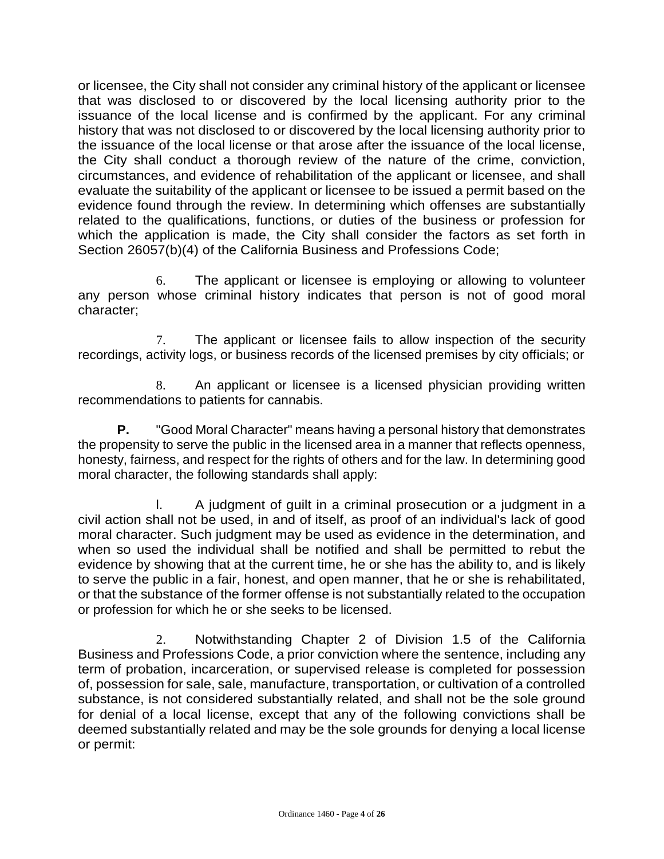or licensee, the City shall not consider any criminal history of the applicant or licensee that was disclosed to or discovered by the local licensing authority prior to the issuance of the local license and is confirmed by the applicant. For any criminal history that was not disclosed to or discovered by the local licensing authority prior to the issuance of the local license or that arose after the issuance of the local license, the City shall conduct a thorough review of the nature of the crime, conviction, circumstances, and evidence of rehabilitation of the applicant or licensee, and shall evaluate the suitability of the applicant or licensee to be issued a permit based on the evidence found through the review. In determining which offenses are substantially related to the qualifications, functions, or duties of the business or profession for which the application is made, the City shall consider the factors as set forth in Section 26057(b)(4) of the California Business and Professions Code;

6. The applicant or licensee is employing or allowing to volunteer any person whose criminal history indicates that person is not of good moral character;

7. The applicant or licensee fails to allow inspection of the security recordings, activity logs, or business records of the licensed premises by city officials; or

8. An applicant or licensee is a licensed physician providing written recommendations to patients for cannabis.

**P.** "Good Moral Character" means having a personal history that demonstrates the propensity to serve the public in the licensed area in a manner that reflects openness, honesty, fairness, and respect for the rights of others and for the law. In determining good moral character, the following standards shall apply:

l. A judgment of guilt in a criminal prosecution or a judgment in a civil action shall not be used, in and of itself, as proof of an individual's lack of good moral character. Such judgment may be used as evidence in the determination, and when so used the individual shall be notified and shall be permitted to rebut the evidence by showing that at the current time, he or she has the ability to, and is likely to serve the public in a fair, honest, and open manner, that he or she is rehabilitated, or that the substance of the former offense is not substantially related to the occupation or profession for which he or she seeks to be licensed.

2. Notwithstanding Chapter 2 of Division 1.5 of the California Business and Professions Code, a prior conviction where the sentence, including any term of probation, incarceration, or supervised release is completed for possession of, possession for sale, sale, manufacture, transportation, or cultivation of a controlled substance, is not considered substantially related, and shall not be the sole ground for denial of a local license, except that any of the following convictions shall be deemed substantially related and may be the sole grounds for denying a local license or permit: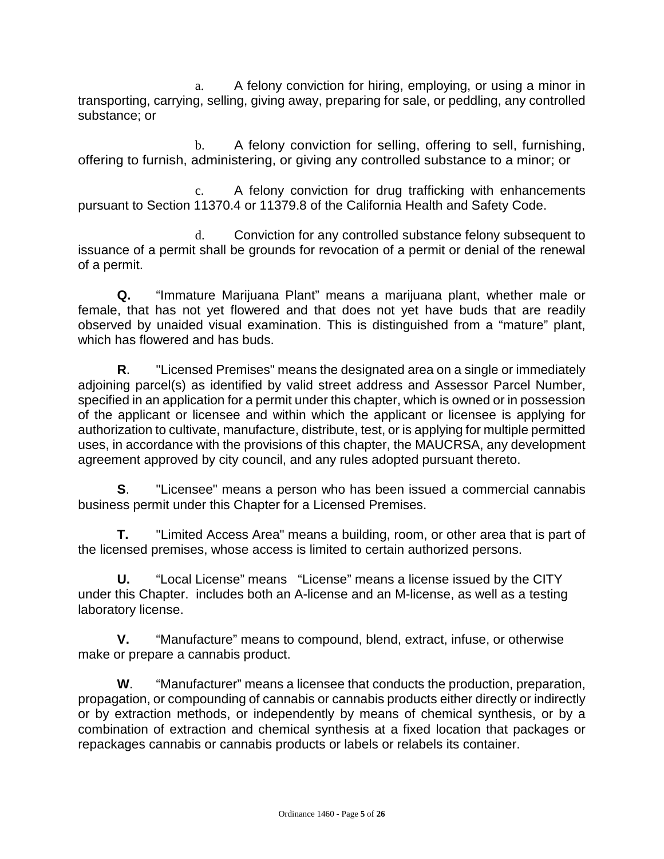a. A felony conviction for hiring, employing, or using a minor in transporting, carrying, selling, giving away, preparing for sale, or peddling, any controlled substance; or

b. A felony conviction for selling, offering to sell, furnishing, offering to furnish, administering, or giving any controlled substance to a minor; or

c. A felony conviction for drug trafficking with enhancements pursuant to Section 11370.4 or 11379.8 of the California Health and Safety Code.

d. Conviction for any controlled substance felony subsequent to issuance of a permit shall be grounds for revocation of a permit or denial of the renewal of a permit.

**Q.** "Immature Marijuana Plant" means a marijuana plant, whether male or female, that has not yet flowered and that does not yet have buds that are readily observed by unaided visual examination. This is distinguished from a "mature" plant, which has flowered and has buds.

**R**. "Licensed Premises" means the designated area on a single or immediately adjoining parcel(s) as identified by valid street address and Assessor Parcel Number, specified in an application for a permit under this chapter, which is owned or in possession of the applicant or licensee and within which the applicant or licensee is applying for authorization to cultivate, manufacture, distribute, test, or is applying for multiple permitted uses, in accordance with the provisions of this chapter, the MAUCRSA, any development agreement approved by city council, and any rules adopted pursuant thereto.

**S**. "Licensee" means a person who has been issued a commercial cannabis business permit under this Chapter for a Licensed Premises.

**T.** "Limited Access Area" means a building, room, or other area that is part of the licensed premises, whose access is limited to certain authorized persons.

**U.** "Local License" means "License" means a license issued by the CITY under this Chapter. includes both an A-license and an M-license, as well as a testing laboratory license.

**V.** "Manufacture" means to compound, blend, extract, infuse, or otherwise make or prepare a cannabis product.

**W**. "Manufacturer" means a licensee that conducts the production, preparation, propagation, or compounding of cannabis or cannabis products either directly or indirectly or by extraction methods, or independently by means of chemical synthesis, or by a combination of extraction and chemical synthesis at a fixed location that packages or repackages cannabis or cannabis products or labels or relabels its container.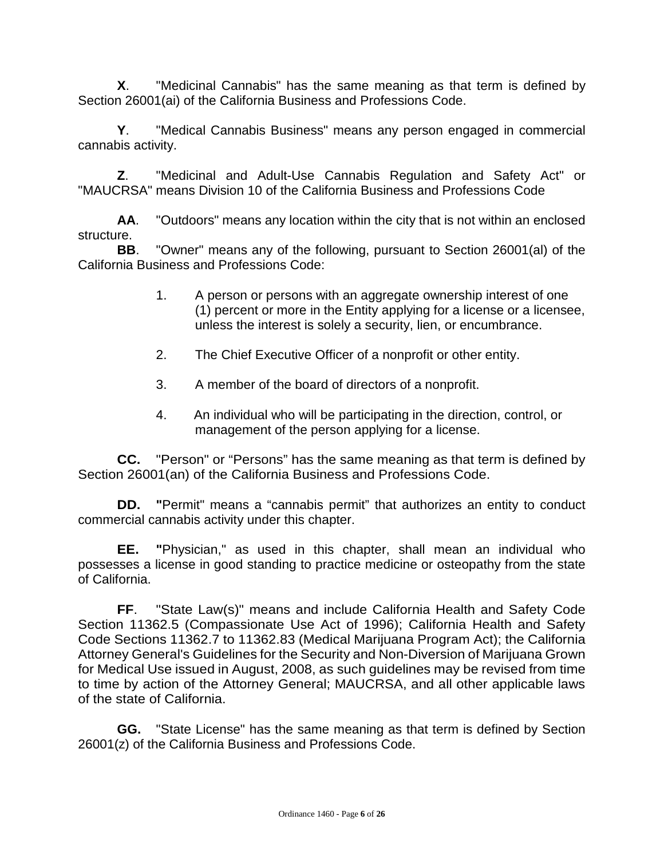**X**. "Medicinal Cannabis" has the same meaning as that term is defined by Section 26001(ai) of the California Business and Professions Code.

**Y**. "Medical Cannabis Business" means any person engaged in commercial cannabis activity.

**Z**. "Medicinal and Adult-Use Cannabis Regulation and Safety Act" or "MAUCRSA" means Division 10 of the California Business and Professions Code

**AA**. "Outdoors" means any location within the city that is not within an enclosed structure.

**BB**. "Owner" means any of the following, pursuant to Section 26001(al) of the California Business and Professions Code:

- 1. A person or persons with an aggregate ownership interest of one (1) percent or more in the Entity applying for a license or a licensee, unless the interest is solely a security, lien, or encumbrance.
- 2. The Chief Executive Officer of a nonprofit or other entity.
- 3. A member of the board of directors of a nonprofit.
- 4. An individual who will be participating in the direction, control, or management of the person applying for a license.

**CC.** "Person" or "Persons" has the same meaning as that term is defined by Section 26001(an) of the California Business and Professions Code.

**DD. "**Permit" means a "cannabis permit" that authorizes an entity to conduct commercial cannabis activity under this chapter.

**EE. "**Physician," as used in this chapter, shall mean an individual who possesses a license in good standing to practice medicine or osteopathy from the state of California.

**FF**. "State Law(s)" means and include California Health and Safety Code Section 11362.5 (Compassionate Use Act of 1996); California Health and Safety Code Sections 11362.7 to 11362.83 (Medical Marijuana Program Act); the California Attorney General's Guidelines for the Security and Non-Diversion of Marijuana Grown for Medical Use issued in August, 2008, as such guidelines may be revised from time to time by action of the Attorney General; MAUCRSA, and all other applicable laws of the state of California.

**GG.** "State License" has the same meaning as that term is defined by Section 26001(z) of the California Business and Professions Code.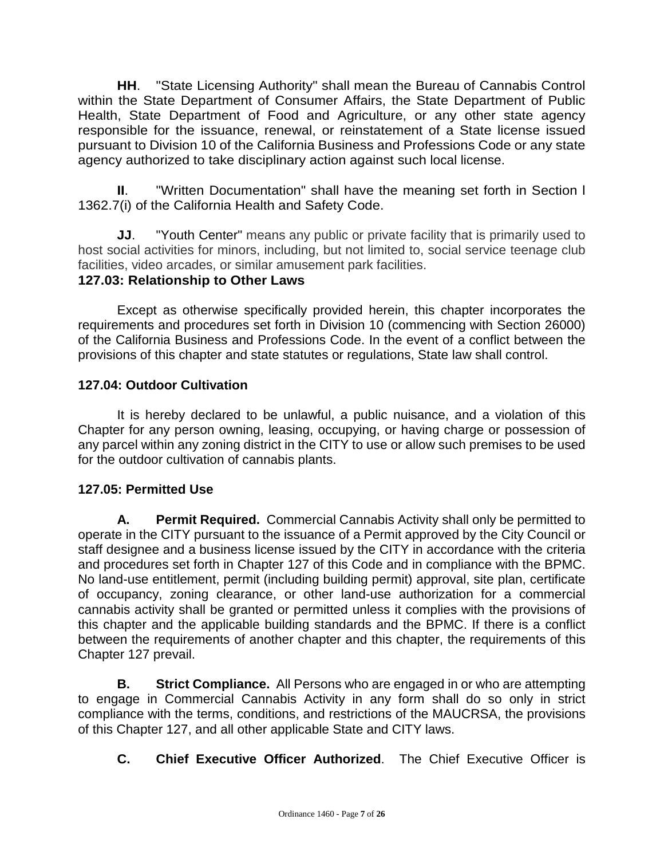**HH**. "State Licensing Authority" shall mean the Bureau of Cannabis Control within the State Department of Consumer Affairs, the State Department of Public Health, State Department of Food and Agriculture, or any other state agency responsible for the issuance, renewal, or reinstatement of a State license issued pursuant to Division 10 of the California Business and Professions Code or any state agency authorized to take disciplinary action against such local license.

**II**. "Written Documentation" shall have the meaning set forth in Section l 1362.7(i) of the California Health and Safety Code.

**JJ**. "Youth Center" means any public or private facility that is primarily used to host social activities for minors, including, but not limited to, social service teenage club facilities, video arcades, or similar amusement park facilities.

## **127.03: Relationship to Other Laws**

Except as otherwise specifically provided herein, this chapter incorporates the requirements and procedures set forth in Division 10 (commencing with Section 26000) of the California Business and Professions Code. In the event of a conflict between the provisions of this chapter and state statutes or regulations, State law shall control.

## **127.04: Outdoor Cultivation**

It is hereby declared to be unlawful, a public nuisance, and a violation of this Chapter for any person owning, leasing, occupying, or having charge or possession of any parcel within any zoning district in the CITY to use or allow such premises to be used for the outdoor cultivation of cannabis plants.

## **127.05: Permitted Use**

**A. Permit Required.** Commercial Cannabis Activity shall only be permitted to operate in the CITY pursuant to the issuance of a Permit approved by the City Council or staff designee and a business license issued by the CITY in accordance with the criteria and procedures set forth in Chapter 127 of this Code and in compliance with the BPMC. No land-use entitlement, permit (including building permit) approval, site plan, certificate of occupancy, zoning clearance, or other land-use authorization for a commercial cannabis activity shall be granted or permitted unless it complies with the provisions of this chapter and the applicable building standards and the BPMC. If there is a conflict between the requirements of another chapter and this chapter, the requirements of this Chapter 127 prevail.

**B. Strict Compliance.** All Persons who are engaged in or who are attempting to engage in Commercial Cannabis Activity in any form shall do so only in strict compliance with the terms, conditions, and restrictions of the MAUCRSA, the provisions of this Chapter 127, and all other applicable State and CITY laws.

**C. Chief Executive Officer Authorized**. The Chief Executive Officer is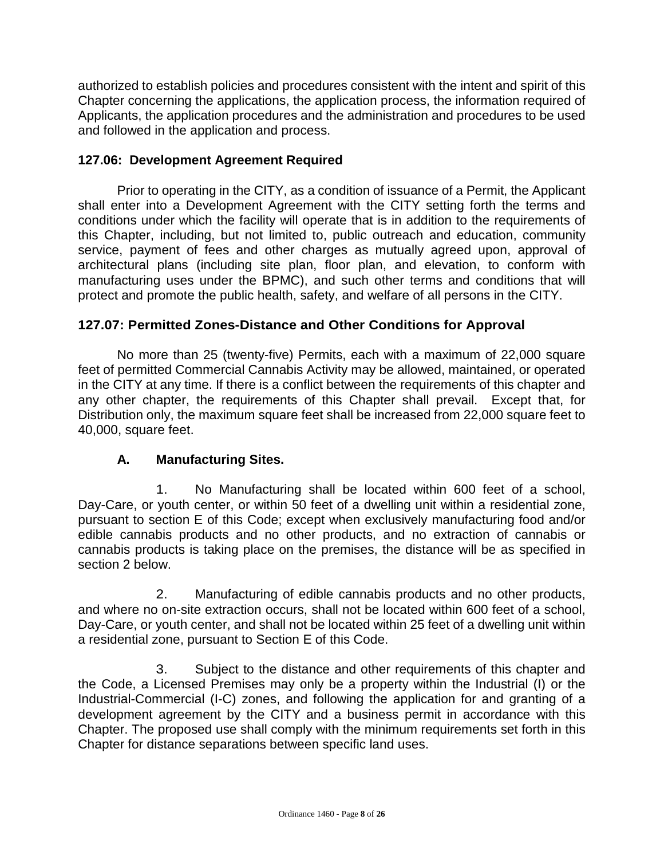authorized to establish policies and procedures consistent with the intent and spirit of this Chapter concerning the applications, the application process, the information required of Applicants, the application procedures and the administration and procedures to be used and followed in the application and process.

#### **127.06: Development Agreement Required**

Prior to operating in the CITY, as a condition of issuance of a Permit, the Applicant shall enter into a Development Agreement with the CITY setting forth the terms and conditions under which the facility will operate that is in addition to the requirements of this Chapter, including, but not limited to, public outreach and education, community service, payment of fees and other charges as mutually agreed upon, approval of architectural plans (including site plan, floor plan, and elevation, to conform with manufacturing uses under the BPMC), and such other terms and conditions that will protect and promote the public health, safety, and welfare of all persons in the CITY.

#### **127.07: Permitted Zones-Distance and Other Conditions for Approval**

No more than 25 (twenty-five) Permits, each with a maximum of 22,000 square feet of permitted Commercial Cannabis Activity may be allowed, maintained, or operated in the CITY at any time. If there is a conflict between the requirements of this chapter and any other chapter, the requirements of this Chapter shall prevail. Except that, for Distribution only, the maximum square feet shall be increased from 22,000 square feet to 40,000, square feet.

#### **A. Manufacturing Sites.**

1. No Manufacturing shall be located within 600 feet of a school, Day-Care, or youth center, or within 50 feet of a dwelling unit within a residential zone, pursuant to section E of this Code; except when exclusively manufacturing food and/or edible cannabis products and no other products, and no extraction of cannabis or cannabis products is taking place on the premises, the distance will be as specified in section 2 below.

2. Manufacturing of edible cannabis products and no other products, and where no on-site extraction occurs, shall not be located within 600 feet of a school, Day-Care, or youth center, and shall not be located within 25 feet of a dwelling unit within a residential zone, pursuant to Section E of this Code.

3. Subject to the distance and other requirements of this chapter and the Code, a Licensed Premises may only be a property within the Industrial (I) or the Industrial-Commercial (I-C) zones, and following the application for and granting of a development agreement by the CITY and a business permit in accordance with this Chapter. The proposed use shall comply with the minimum requirements set forth in this Chapter for distance separations between specific land uses.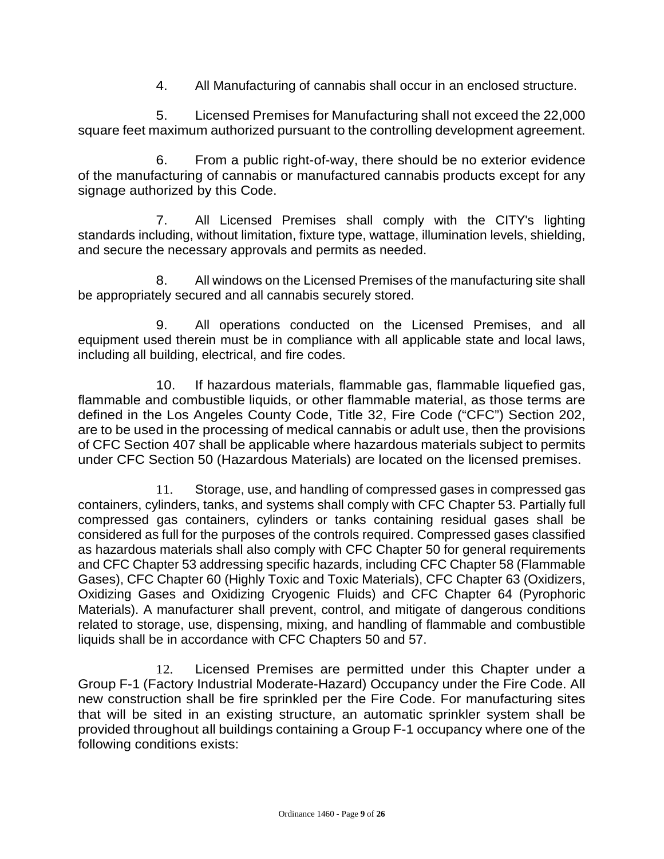4. All Manufacturing of cannabis shall occur in an enclosed structure.

5. Licensed Premises for Manufacturing shall not exceed the 22,000 square feet maximum authorized pursuant to the controlling development agreement.

6. From a public right-of-way, there should be no exterior evidence of the manufacturing of cannabis or manufactured cannabis products except for any signage authorized by this Code.

7. All Licensed Premises shall comply with the CITY's lighting standards including, without limitation, fixture type, wattage, illumination levels, shielding, and secure the necessary approvals and permits as needed.

8. All windows on the Licensed Premises of the manufacturing site shall be appropriately secured and all cannabis securely stored.

9. All operations conducted on the Licensed Premises, and all equipment used therein must be in compliance with all applicable state and local laws, including all building, electrical, and fire codes.

10. If hazardous materials, flammable gas, flammable liquefied gas, flammable and combustible liquids, or other flammable material, as those terms are defined in the Los Angeles County Code, Title 32, Fire Code ("CFC") Section 202, are to be used in the processing of medical cannabis or adult use, then the provisions of CFC Section 407 shall be applicable where hazardous materials subject to permits under CFC Section 50 (Hazardous Materials) are located on the licensed premises.

11. Storage, use, and handling of compressed gases in compressed gas containers, cylinders, tanks, and systems shall comply with CFC Chapter 53. Partially full compressed gas containers, cylinders or tanks containing residual gases shall be considered as full for the purposes of the controls required. Compressed gases classified as hazardous materials shall also comply with CFC Chapter 50 for general requirements and CFC Chapter 53 addressing specific hazards, including CFC Chapter 58 (Flammable Gases), CFC Chapter 60 (Highly Toxic and Toxic Materials), CFC Chapter 63 (Oxidizers, Oxidizing Gases and Oxidizing Cryogenic Fluids) and CFC Chapter 64 (Pyrophoric Materials). A manufacturer shall prevent, control, and mitigate of dangerous conditions related to storage, use, dispensing, mixing, and handling of flammable and combustible liquids shall be in accordance with CFC Chapters 50 and 57.

12. Licensed Premises are permitted under this Chapter under a Group F-1 (Factory Industrial Moderate-Hazard) Occupancy under the Fire Code. All new construction shall be fire sprinkled per the Fire Code. For manufacturing sites that will be sited in an existing structure, an automatic sprinkler system shall be provided throughout all buildings containing a Group F-1 occupancy where one of the following conditions exists: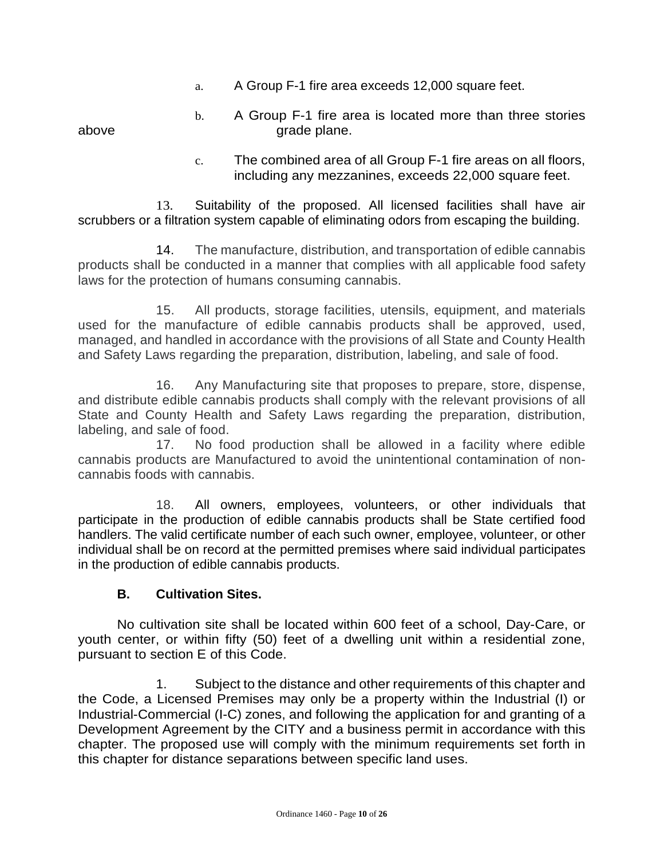a. A Group F-1 fire area exceeds 12,000 square feet.

b. A Group F-1 fire area is located more than three stories above grade plane.

> c. The combined area of all Group F-1 fire areas on all floors, including any mezzanines, exceeds 22,000 square feet.

13. Suitability of the proposed. All licensed facilities shall have air scrubbers or a filtration system capable of eliminating odors from escaping the building.

14. The manufacture, distribution, and transportation of edible cannabis products shall be conducted in a manner that complies with all applicable food safety laws for the protection of humans consuming cannabis.

15. All products, storage facilities, utensils, equipment, and materials used for the manufacture of edible cannabis products shall be approved, used, managed, and handled in accordance with the provisions of all State and County Health and Safety Laws regarding the preparation, distribution, labeling, and sale of food.

16. Any Manufacturing site that proposes to prepare, store, dispense, and distribute edible cannabis products shall comply with the relevant provisions of all State and County Health and Safety Laws regarding the preparation, distribution, labeling, and sale of food.

17. No food production shall be allowed in a facility where edible cannabis products are Manufactured to avoid the unintentional contamination of noncannabis foods with cannabis.

18. All owners, employees, volunteers, or other individuals that participate in the production of edible cannabis products shall be State certified food handlers. The valid certificate number of each such owner, employee, volunteer, or other individual shall be on record at the permitted premises where said individual participates in the production of edible cannabis products.

## **B. Cultivation Sites.**

No cultivation site shall be located within 600 feet of a school, Day-Care, or youth center, or within fifty (50) feet of a dwelling unit within a residential zone, pursuant to section E of this Code.

1. Subject to the distance and other requirements of this chapter and the Code, a Licensed Premises may only be a property within the Industrial (I) or Industrial-Commercial (I-C) zones, and following the application for and granting of a Development Agreement by the CITY and a business permit in accordance with this chapter. The proposed use will comply with the minimum requirements set forth in this chapter for distance separations between specific land uses.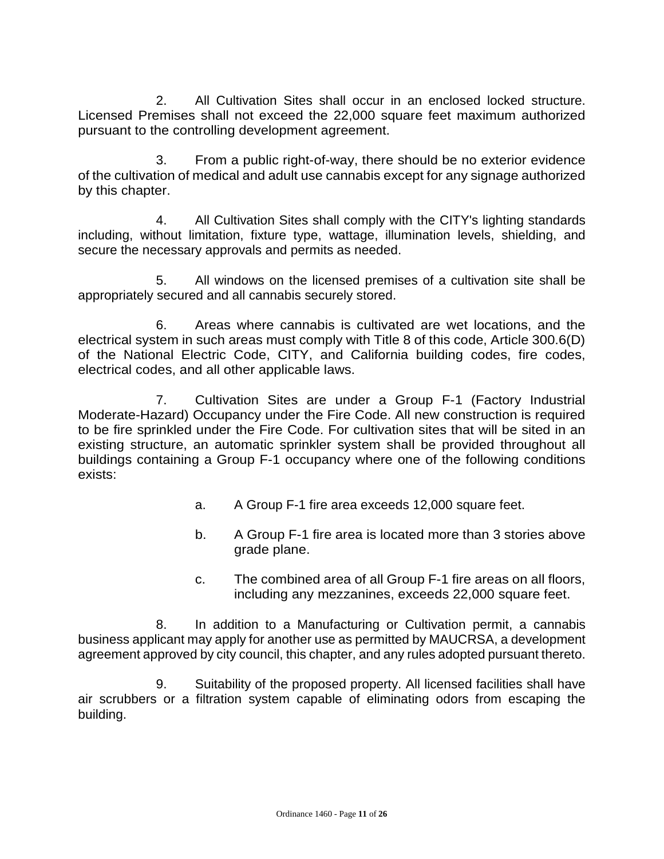2. All Cultivation Sites shall occur in an enclosed locked structure. Licensed Premises shall not exceed the 22,000 square feet maximum authorized pursuant to the controlling development agreement.

3. From a public right-of-way, there should be no exterior evidence of the cultivation of medical and adult use cannabis except for any signage authorized by this chapter.

4. All Cultivation Sites shall comply with the CITY's lighting standards including, without limitation, fixture type, wattage, illumination levels, shielding, and secure the necessary approvals and permits as needed.

5. All windows on the licensed premises of a cultivation site shall be appropriately secured and all cannabis securely stored.

6. Areas where cannabis is cultivated are wet locations, and the electrical system in such areas must comply with Title 8 of this code, Article 300.6(D) of the National Electric Code, CITY, and California building codes, fire codes, electrical codes, and all other applicable laws.

7. Cultivation Sites are under a Group F-1 (Factory Industrial Moderate-Hazard) Occupancy under the Fire Code. All new construction is required to be fire sprinkled under the Fire Code. For cultivation sites that will be sited in an existing structure, an automatic sprinkler system shall be provided throughout all buildings containing a Group F-1 occupancy where one of the following conditions exists:

- a. A Group F-1 fire area exceeds 12,000 square feet.
- b. A Group F-1 fire area is located more than 3 stories above grade plane.
- c. The combined area of all Group F-1 fire areas on all floors, including any mezzanines, exceeds 22,000 square feet.

8. In addition to a Manufacturing or Cultivation permit, a cannabis business applicant may apply for another use as permitted by MAUCRSA, a development agreement approved by city council, this chapter, and any rules adopted pursuant thereto.

9. Suitability of the proposed property. All licensed facilities shall have air scrubbers or a filtration system capable of eliminating odors from escaping the building.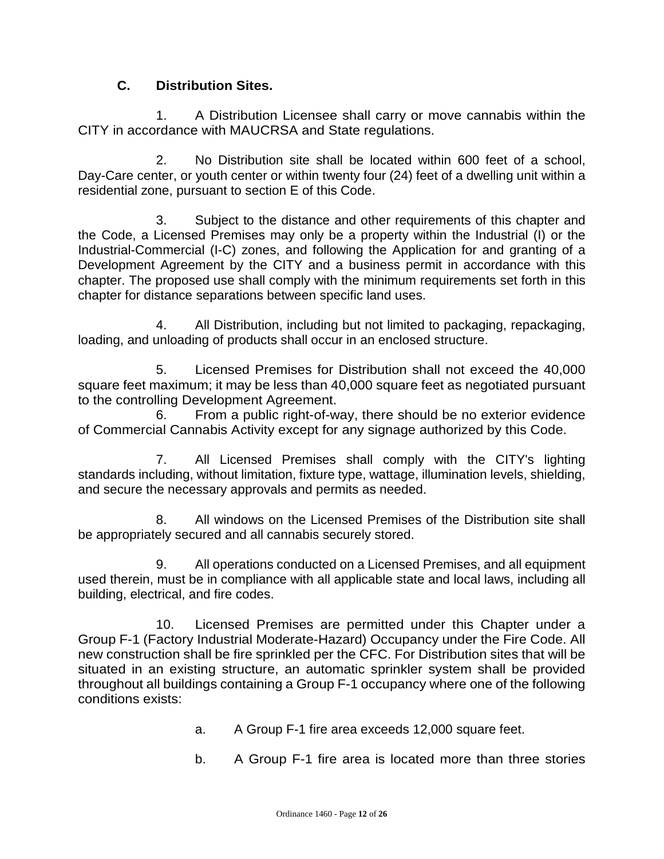## **C. Distribution Sites.**

1. A Distribution Licensee shall carry or move cannabis within the CITY in accordance with MAUCRSA and State regulations.

2. No Distribution site shall be located within 600 feet of a school, Day-Care center, or youth center or within twenty four (24) feet of a dwelling unit within a residential zone, pursuant to section E of this Code.

3. Subject to the distance and other requirements of this chapter and the Code, a Licensed Premises may only be a property within the Industrial (I) or the Industrial-Commercial (I-C) zones, and following the Application for and granting of a Development Agreement by the CITY and a business permit in accordance with this chapter. The proposed use shall comply with the minimum requirements set forth in this chapter for distance separations between specific land uses.

4. All Distribution, including but not limited to packaging, repackaging, loading, and unloading of products shall occur in an enclosed structure.

5. Licensed Premises for Distribution shall not exceed the 40,000 square feet maximum; it may be less than 40,000 square feet as negotiated pursuant to the controlling Development Agreement.

6. From a public right-of-way, there should be no exterior evidence of Commercial Cannabis Activity except for any signage authorized by this Code.

7. All Licensed Premises shall comply with the CITY's lighting standards including, without limitation, fixture type, wattage, illumination levels, shielding, and secure the necessary approvals and permits as needed.

8. All windows on the Licensed Premises of the Distribution site shall be appropriately secured and all cannabis securely stored.

9. All operations conducted on a Licensed Premises, and all equipment used therein, must be in compliance with all applicable state and local laws, including all building, electrical, and fire codes.

10. Licensed Premises are permitted under this Chapter under a Group F-1 (Factory Industrial Moderate-Hazard) Occupancy under the Fire Code. All new construction shall be fire sprinkled per the CFC. For Distribution sites that will be situated in an existing structure, an automatic sprinkler system shall be provided throughout all buildings containing a Group F-1 occupancy where one of the following conditions exists:

- a. A Group F-1 fire area exceeds 12,000 square feet.
- b. A Group F-1 fire area is located more than three stories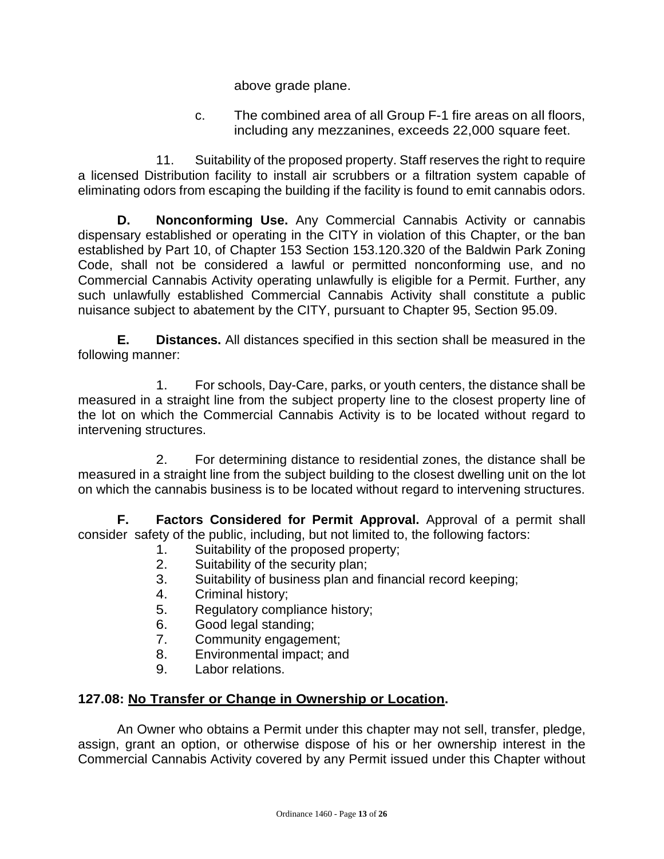above grade plane.

c. The combined area of all Group F-1 fire areas on all floors, including any mezzanines, exceeds 22,000 square feet.

11. Suitability of the proposed property. Staff reserves the right to require a licensed Distribution facility to install air scrubbers or a filtration system capable of eliminating odors from escaping the building if the facility is found to emit cannabis odors.

**D. Nonconforming Use.** Any Commercial Cannabis Activity or cannabis dispensary established or operating in the CITY in violation of this Chapter, or the ban established by Part 10, of Chapter 153 Section 153.120.320 of the Baldwin Park Zoning Code, shall not be considered a lawful or permitted nonconforming use, and no Commercial Cannabis Activity operating unlawfully is eligible for a Permit. Further, any such unlawfully established Commercial Cannabis Activity shall constitute a public nuisance subject to abatement by the CITY, pursuant to Chapter 95, Section 95.09.

**E. Distances.** All distances specified in this section shall be measured in the following manner:

1. For schools, Day-Care, parks, or youth centers, the distance shall be measured in a straight line from the subject property line to the closest property line of the lot on which the Commercial Cannabis Activity is to be located without regard to intervening structures.

2. For determining distance to residential zones, the distance shall be measured in a straight line from the subject building to the closest dwelling unit on the lot on which the cannabis business is to be located without regard to intervening structures.

**F. Factors Considered for Permit Approval.** Approval of a permit shall consider safety of the public, including, but not limited to, the following factors:

- 1. Suitability of the proposed property;
- 2. Suitability of the security plan;
- 3. Suitability of business plan and financial record keeping;
- 4. Criminal history;
- 5. Regulatory compliance history;
- 6. Good legal standing;
- 7. Community engagement;
- 8. Environmental impact; and
- 9. Labor relations.

#### **127.08: No Transfer or Change in Ownership or Location.**

An Owner who obtains a Permit under this chapter may not sell, transfer, pledge, assign, grant an option, or otherwise dispose of his or her ownership interest in the Commercial Cannabis Activity covered by any Permit issued under this Chapter without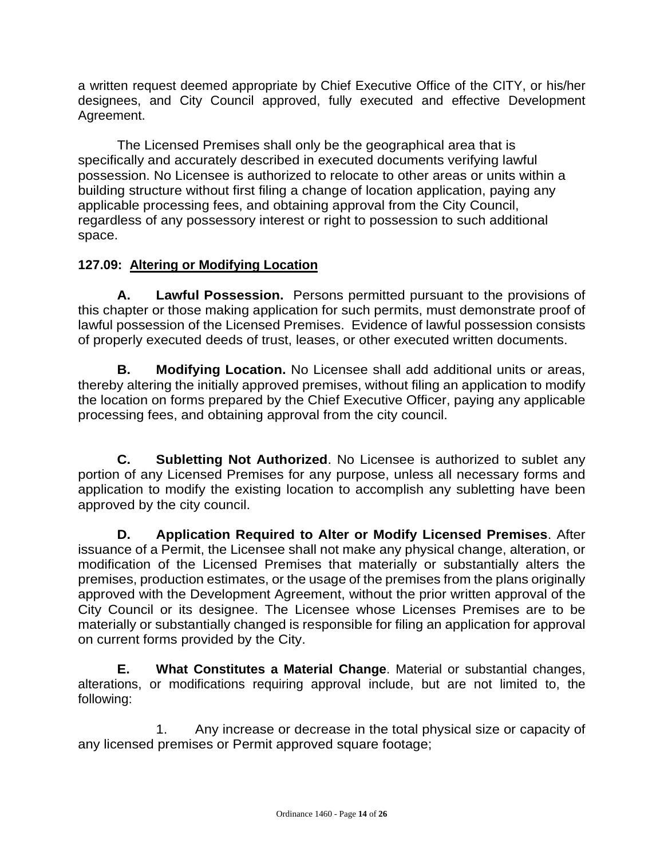a written request deemed appropriate by Chief Executive Office of the CITY, or his/her designees, and City Council approved, fully executed and effective Development Agreement.

The Licensed Premises shall only be the geographical area that is specifically and accurately described in executed documents verifying lawful possession. No Licensee is authorized to relocate to other areas or units within a building structure without first filing a change of location application, paying any applicable processing fees, and obtaining approval from the City Council, regardless of any possessory interest or right to possession to such additional space.

## **127.09: Altering or Modifying Location**

**A. Lawful Possession.** Persons permitted pursuant to the provisions of this chapter or those making application for such permits, must demonstrate proof of lawful possession of the Licensed Premises. Evidence of lawful possession consists of properly executed deeds of trust, leases, or other executed written documents.

**B. Modifying Location.** No Licensee shall add additional units or areas, thereby altering the initially approved premises, without filing an application to modify the location on forms prepared by the Chief Executive Officer, paying any applicable processing fees, and obtaining approval from the city council.

**C. Subletting Not Authorized**. No Licensee is authorized to sublet any portion of any Licensed Premises for any purpose, unless all necessary forms and application to modify the existing location to accomplish any subletting have been approved by the city council.

**D. Application Required to Alter or Modify Licensed Premises**. After issuance of a Permit, the Licensee shall not make any physical change, alteration, or modification of the Licensed Premises that materially or substantially alters the premises, production estimates, or the usage of the premises from the plans originally approved with the Development Agreement, without the prior written approval of the City Council or its designee. The Licensee whose Licenses Premises are to be materially or substantially changed is responsible for filing an application for approval on current forms provided by the City.

**E. What Constitutes a Material Change**. Material or substantial changes, alterations, or modifications requiring approval include, but are not limited to, the following:

1. Any increase or decrease in the total physical size or capacity of any licensed premises or Permit approved square footage;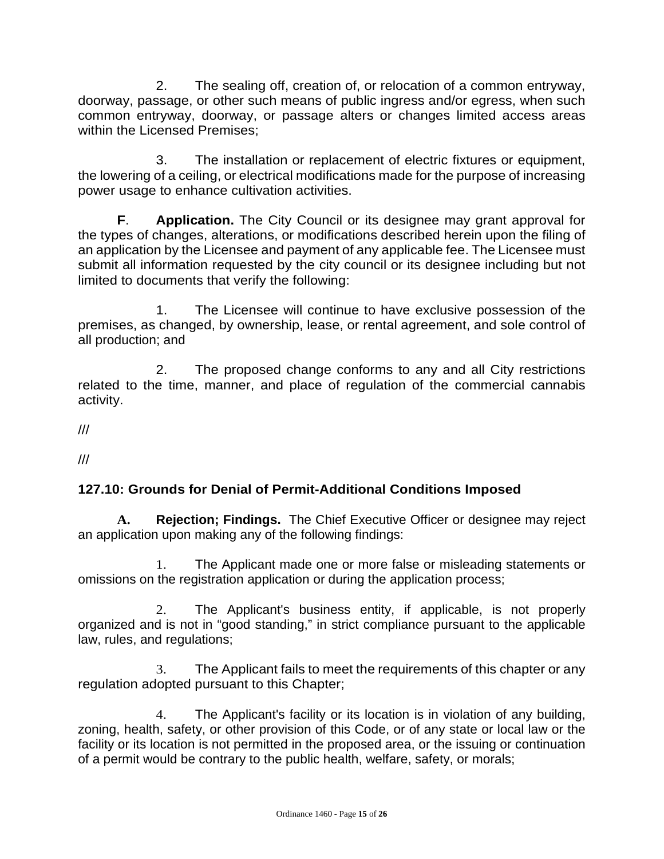2. The sealing off, creation of, or relocation of a common entryway, doorway, passage, or other such means of public ingress and/or egress, when such common entryway, doorway, or passage alters or changes limited access areas within the Licensed Premises;

3. The installation or replacement of electric fixtures or equipment, the lowering of a ceiling, or electrical modifications made for the purpose of increasing power usage to enhance cultivation activities.

**F**. **Application.** The City Council or its designee may grant approval for the types of changes, alterations, or modifications described herein upon the filing of an application by the Licensee and payment of any applicable fee. The Licensee must submit all information requested by the city council or its designee including but not limited to documents that verify the following:

1. The Licensee will continue to have exclusive possession of the premises, as changed, by ownership, lease, or rental agreement, and sole control of all production; and

2. The proposed change conforms to any and all City restrictions related to the time, manner, and place of regulation of the commercial cannabis activity.

///

///

# **127.10: Grounds for Denial of Permit-Additional Conditions Imposed**

**A. Rejection; Findings.** The Chief Executive Officer or designee may reject an application upon making any of the following findings:

1. The Applicant made one or more false or misleading statements or omissions on the registration application or during the application process;

2. The Applicant's business entity, if applicable, is not properly organized and is not in "good standing," in strict compliance pursuant to the applicable law, rules, and regulations;

3. The Applicant fails to meet the requirements of this chapter or any regulation adopted pursuant to this Chapter;

4. The Applicant's facility or its location is in violation of any building, zoning, health, safety, or other provision of this Code, or of any state or local law or the facility or its location is not permitted in the proposed area, or the issuing or continuation of a permit would be contrary to the public health, welfare, safety, or morals;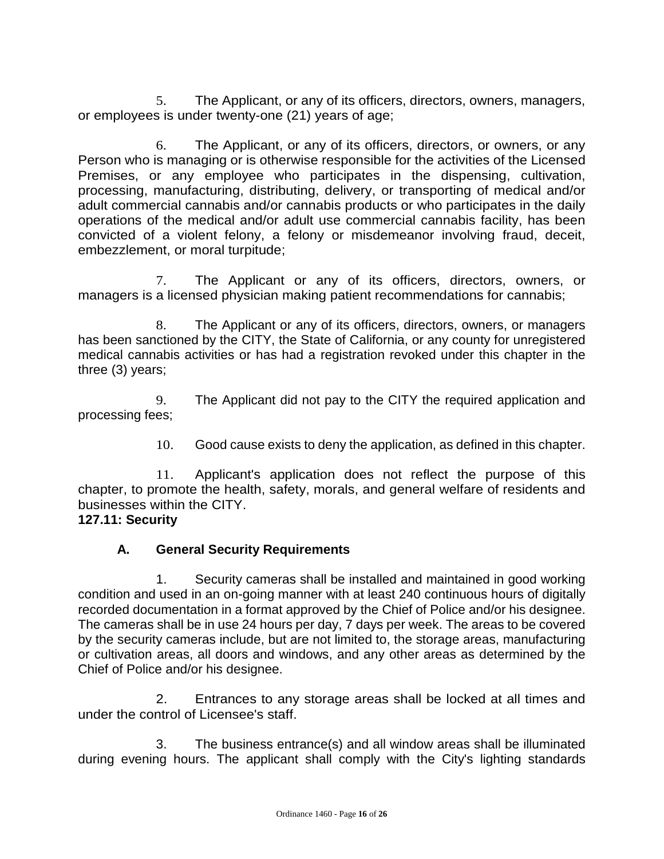5. The Applicant, or any of its officers, directors, owners, managers, or employees is under twenty-one (21) years of age;

6. The Applicant, or any of its officers, directors, or owners, or any Person who is managing or is otherwise responsible for the activities of the Licensed Premises, or any employee who participates in the dispensing, cultivation, processing, manufacturing, distributing, delivery, or transporting of medical and/or adult commercial cannabis and/or cannabis products or who participates in the daily operations of the medical and/or adult use commercial cannabis facility, has been convicted of a violent felony, a felony or misdemeanor involving fraud, deceit, embezzlement, or moral turpitude;

7. The Applicant or any of its officers, directors, owners, or managers is a licensed physician making patient recommendations for cannabis;

8. The Applicant or any of its officers, directors, owners, or managers has been sanctioned by the CITY, the State of California, or any county for unregistered medical cannabis activities or has had a registration revoked under this chapter in the three (3) years;

9. The Applicant did not pay to the CITY the required application and processing fees;

10. Good cause exists to deny the application, as defined in this chapter.

11. Applicant's application does not reflect the purpose of this chapter, to promote the health, safety, morals, and general welfare of residents and businesses within the CITY.

## **127.11: Security**

# **A. General Security Requirements**

1. Security cameras shall be installed and maintained in good working condition and used in an on-going manner with at least 240 continuous hours of digitally recorded documentation in a format approved by the Chief of Police and/or his designee. The cameras shall be in use 24 hours per day, 7 days per week. The areas to be covered by the security cameras include, but are not limited to, the storage areas, manufacturing or cultivation areas, all doors and windows, and any other areas as determined by the Chief of Police and/or his designee.

2. Entrances to any storage areas shall be locked at all times and under the control of Licensee's staff.

3. The business entrance(s) and all window areas shall be illuminated during evening hours. The applicant shall comply with the City's lighting standards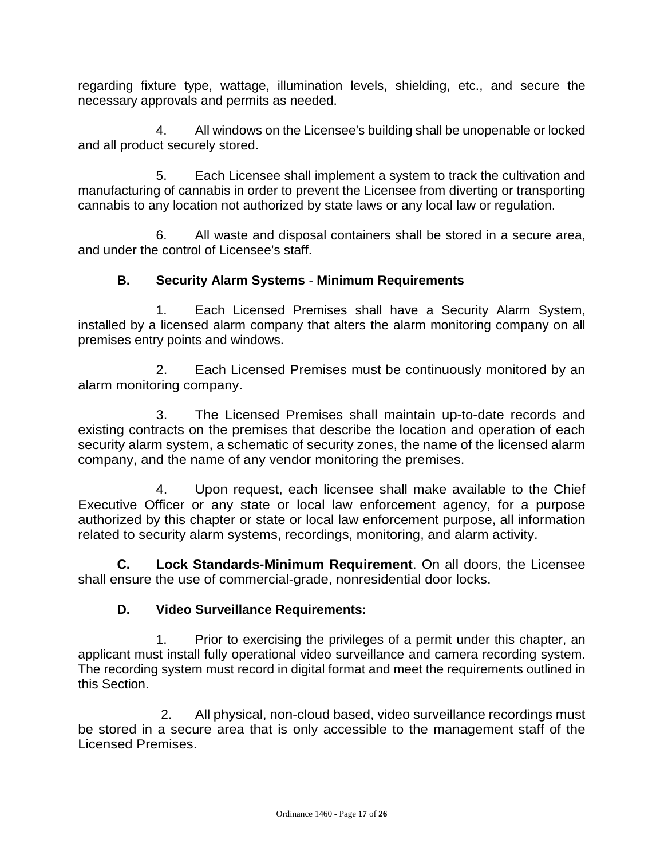regarding fixture type, wattage, illumination levels, shielding, etc., and secure the necessary approvals and permits as needed.

4. All windows on the Licensee's building shall be unopenable or locked and all product securely stored.

5. Each Licensee shall implement a system to track the cultivation and manufacturing of cannabis in order to prevent the Licensee from diverting or transporting cannabis to any location not authorized by state laws or any local law or regulation.

6. All waste and disposal containers shall be stored in a secure area, and under the control of Licensee's staff.

## **B. Security Alarm Systems** - **Minimum Requirements**

1. Each Licensed Premises shall have a Security Alarm System, installed by a licensed alarm company that alters the alarm monitoring company on all premises entry points and windows.

2. Each Licensed Premises must be continuously monitored by an alarm monitoring company.

3. The Licensed Premises shall maintain up-to-date records and existing contracts on the premises that describe the location and operation of each security alarm system, a schematic of security zones, the name of the licensed alarm company, and the name of any vendor monitoring the premises.

4. Upon request, each licensee shall make available to the Chief Executive Officer or any state or local law enforcement agency, for a purpose authorized by this chapter or state or local law enforcement purpose, all information related to security alarm systems, recordings, monitoring, and alarm activity.

**C. Lock Standards-Minimum Requirement**. On all doors, the Licensee shall ensure the use of commercial-grade, nonresidential door locks.

## **D. Video Surveillance Requirements:**

1. Prior to exercising the privileges of a permit under this chapter, an applicant must install fully operational video surveillance and camera recording system. The recording system must record in digital format and meet the requirements outlined in this Section.

2. All physical, non-cloud based, video surveillance recordings must be stored in a secure area that is only accessible to the management staff of the Licensed Premises.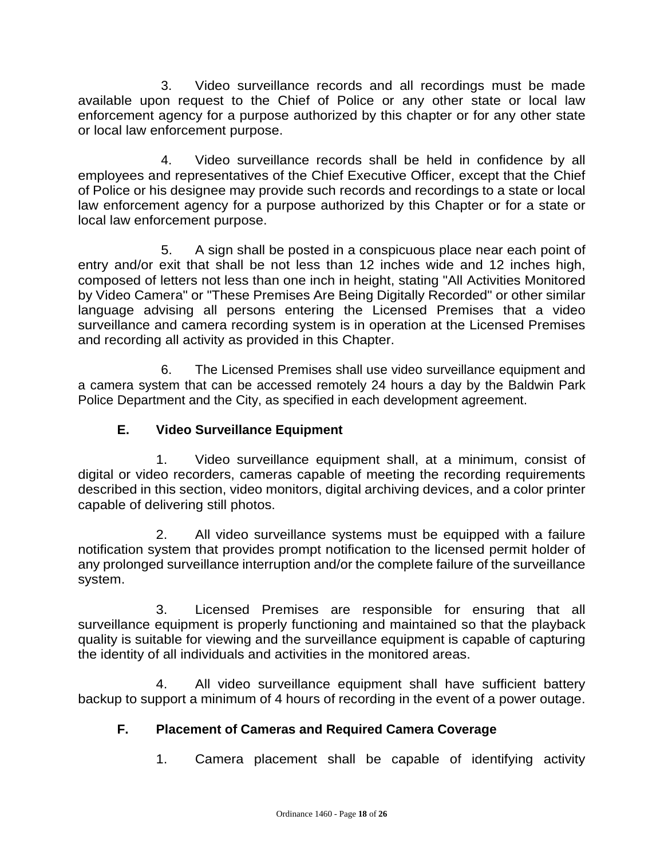3. Video surveillance records and all recordings must be made available upon request to the Chief of Police or any other state or local law enforcement agency for a purpose authorized by this chapter or for any other state or local law enforcement purpose.

4. Video surveillance records shall be held in confidence by all employees and representatives of the Chief Executive Officer, except that the Chief of Police or his designee may provide such records and recordings to a state or local law enforcement agency for a purpose authorized by this Chapter or for a state or local law enforcement purpose.

5. A sign shall be posted in a conspicuous place near each point of entry and/or exit that shall be not less than 12 inches wide and 12 inches high, composed of letters not less than one inch in height, stating "All Activities Monitored by Video Camera" or "These Premises Are Being Digitally Recorded" or other similar language advising all persons entering the Licensed Premises that a video surveillance and camera recording system is in operation at the Licensed Premises and recording all activity as provided in this Chapter.

6. The Licensed Premises shall use video surveillance equipment and a camera system that can be accessed remotely 24 hours a day by the Baldwin Park Police Department and the City, as specified in each development agreement.

# **E. Video Surveillance Equipment**

1. Video surveillance equipment shall, at a minimum, consist of digital or video recorders, cameras capable of meeting the recording requirements described in this section, video monitors, digital archiving devices, and a color printer capable of delivering still photos.

2. All video surveillance systems must be equipped with a failure notification system that provides prompt notification to the licensed permit holder of any prolonged surveillance interruption and/or the complete failure of the surveillance system.

3. Licensed Premises are responsible for ensuring that all surveillance equipment is properly functioning and maintained so that the playback quality is suitable for viewing and the surveillance equipment is capable of capturing the identity of all individuals and activities in the monitored areas.

4. All video surveillance equipment shall have sufficient battery backup to support a minimum of 4 hours of recording in the event of a power outage.

# **F. Placement of Cameras and Required Camera Coverage**

1. Camera placement shall be capable of identifying activity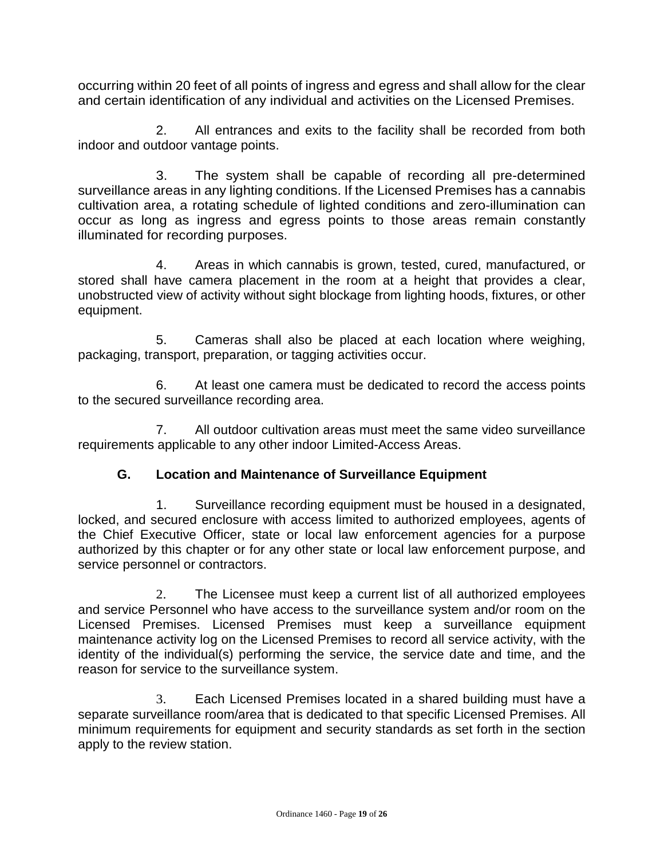occurring within 20 feet of all points of ingress and egress and shall allow for the clear and certain identification of any individual and activities on the Licensed Premises.

2. All entrances and exits to the facility shall be recorded from both indoor and outdoor vantage points.

3. The system shall be capable of recording all pre-determined surveillance areas in any lighting conditions. If the Licensed Premises has a cannabis cultivation area, a rotating schedule of lighted conditions and zero-illumination can occur as long as ingress and egress points to those areas remain constantly illuminated for recording purposes.

4. Areas in which cannabis is grown, tested, cured, manufactured, or stored shall have camera placement in the room at a height that provides a clear, unobstructed view of activity without sight blockage from lighting hoods, fixtures, or other equipment.

5. Cameras shall also be placed at each location where weighing, packaging, transport, preparation, or tagging activities occur.

6. At least one camera must be dedicated to record the access points to the secured surveillance recording area.

7. All outdoor cultivation areas must meet the same video surveillance requirements applicable to any other indoor Limited-Access Areas.

# **G. Location and Maintenance of Surveillance Equipment**

1. Surveillance recording equipment must be housed in a designated, locked, and secured enclosure with access limited to authorized employees, agents of the Chief Executive Officer, state or local law enforcement agencies for a purpose authorized by this chapter or for any other state or local law enforcement purpose, and service personnel or contractors.

2. The Licensee must keep a current list of all authorized employees and service Personnel who have access to the surveillance system and/or room on the Licensed Premises. Licensed Premises must keep a surveillance equipment maintenance activity log on the Licensed Premises to record all service activity, with the identity of the individual(s) performing the service, the service date and time, and the reason for service to the surveillance system.

3. Each Licensed Premises located in a shared building must have a separate surveillance room/area that is dedicated to that specific Licensed Premises. All minimum requirements for equipment and security standards as set forth in the section apply to the review station.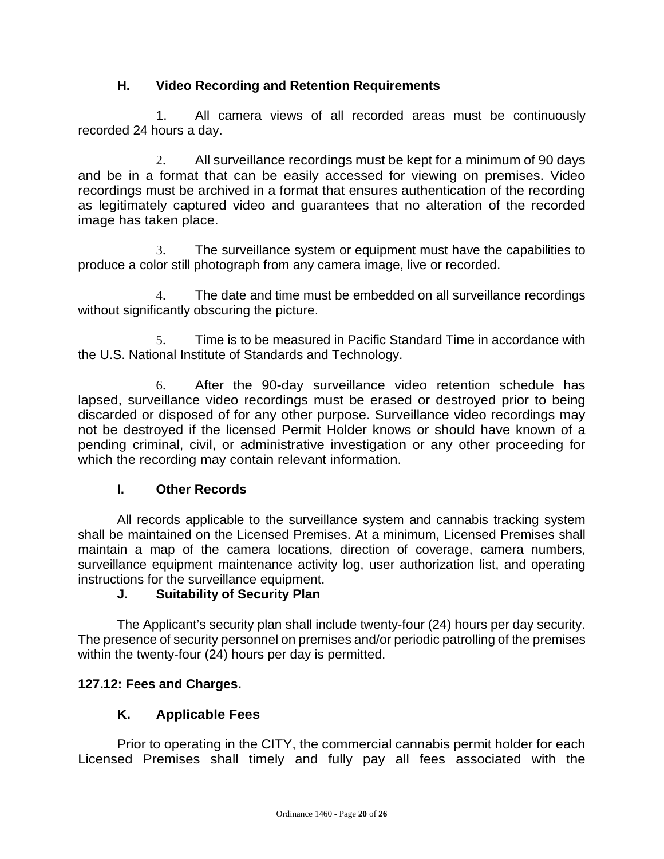## **H. Video Recording and Retention Requirements**

1. All camera views of all recorded areas must be continuously recorded 24 hours a day.

2. All surveillance recordings must be kept for a minimum of 90 days and be in a format that can be easily accessed for viewing on premises. Video recordings must be archived in a format that ensures authentication of the recording as legitimately captured video and guarantees that no alteration of the recorded image has taken place.

3. The surveillance system or equipment must have the capabilities to produce a color still photograph from any camera image, live or recorded.

4. The date and time must be embedded on all surveillance recordings without significantly obscuring the picture.

5. Time is to be measured in Pacific Standard Time in accordance with the U.S. National Institute of Standards and Technology.

6. After the 90-day surveillance video retention schedule has lapsed, surveillance video recordings must be erased or destroyed prior to being discarded or disposed of for any other purpose. Surveillance video recordings may not be destroyed if the licensed Permit Holder knows or should have known of a pending criminal, civil, or administrative investigation or any other proceeding for which the recording may contain relevant information.

## **I. Other Records**

All records applicable to the surveillance system and cannabis tracking system shall be maintained on the Licensed Premises. At a minimum, Licensed Premises shall maintain a map of the camera locations, direction of coverage, camera numbers, surveillance equipment maintenance activity log, user authorization list, and operating instructions for the surveillance equipment.

## **J. Suitability of Security Plan**

The Applicant's security plan shall include twenty-four (24) hours per day security. The presence of security personnel on premises and/or periodic patrolling of the premises within the twenty-four (24) hours per day is permitted.

# **127.12: Fees and Charges.**

# **K. Applicable Fees**

Prior to operating in the CITY, the commercial cannabis permit holder for each Licensed Premises shall timely and fully pay all fees associated with the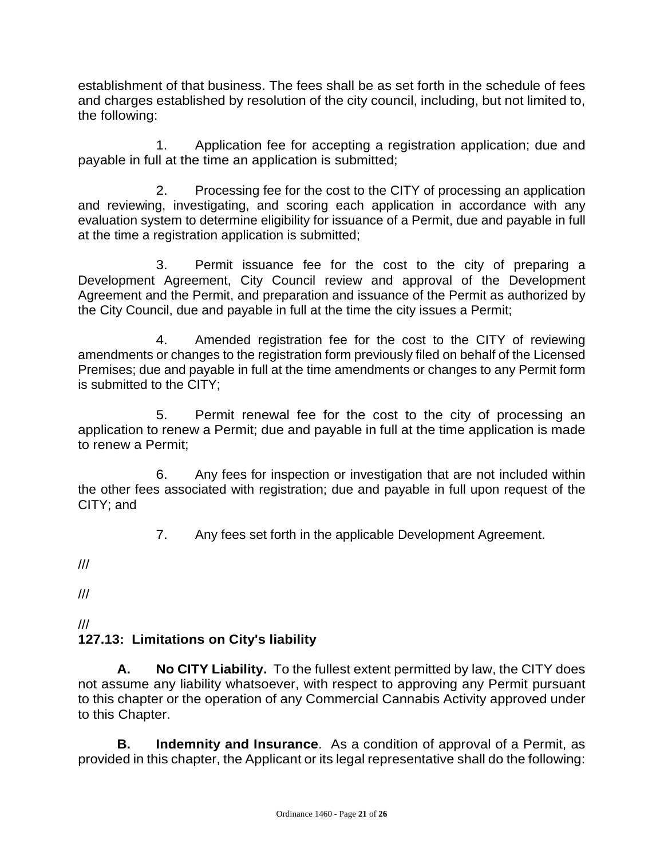establishment of that business. The fees shall be as set forth in the schedule of fees and charges established by resolution of the city council, including, but not limited to, the following:

1. Application fee for accepting a registration application; due and payable in full at the time an application is submitted;

2. Processing fee for the cost to the CITY of processing an application and reviewing, investigating, and scoring each application in accordance with any evaluation system to determine eligibility for issuance of a Permit, due and payable in full at the time a registration application is submitted;

3. Permit issuance fee for the cost to the city of preparing a Development Agreement, City Council review and approval of the Development Agreement and the Permit, and preparation and issuance of the Permit as authorized by the City Council, due and payable in full at the time the city issues a Permit;

4. Amended registration fee for the cost to the CITY of reviewing amendments or changes to the registration form previously filed on behalf of the Licensed Premises; due and payable in full at the time amendments or changes to any Permit form is submitted to the CITY;

5. Permit renewal fee for the cost to the city of processing an application to renew a Permit; due and payable in full at the time application is made to renew a Permit;

6. Any fees for inspection or investigation that are not included within the other fees associated with registration; due and payable in full upon request of the CITY; and

7. Any fees set forth in the applicable Development Agreement.

///

///

#### /// **127.13: Limitations on City's liability**

**A. No CITY Liability.** To the fullest extent permitted by law, the CITY does not assume any liability whatsoever, with respect to approving any Permit pursuant to this chapter or the operation of any Commercial Cannabis Activity approved under to this Chapter.

**B. Indemnity and Insurance**. As a condition of approval of a Permit, as provided in this chapter, the Applicant or its legal representative shall do the following: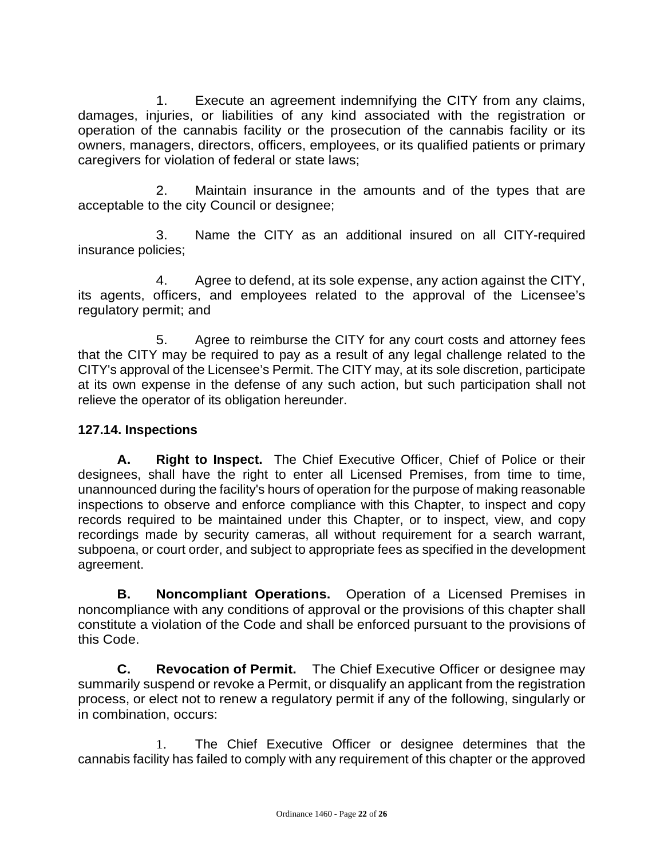1. Execute an agreement indemnifying the CITY from any claims, damages, injuries, or liabilities of any kind associated with the registration or operation of the cannabis facility or the prosecution of the cannabis facility or its owners, managers, directors, officers, employees, or its qualified patients or primary caregivers for violation of federal or state laws;

2. Maintain insurance in the amounts and of the types that are acceptable to the city Council or designee;

3. Name the CITY as an additional insured on all CITY-required insurance policies;

4. Agree to defend, at its sole expense, any action against the CITY, its agents, officers, and employees related to the approval of the Licensee's regulatory permit; and

5. Agree to reimburse the CITY for any court costs and attorney fees that the CITY may be required to pay as a result of any legal challenge related to the CITY's approval of the Licensee's Permit. The CITY may, at its sole discretion, participate at its own expense in the defense of any such action, but such participation shall not relieve the operator of its obligation hereunder.

## **127.14. Inspections**

**A. Right to Inspect.** The Chief Executive Officer, Chief of Police or their designees, shall have the right to enter all Licensed Premises, from time to time, unannounced during the facility's hours of operation for the purpose of making reasonable inspections to observe and enforce compliance with this Chapter, to inspect and copy records required to be maintained under this Chapter, or to inspect, view, and copy recordings made by security cameras, all without requirement for a search warrant, subpoena, or court order, and subject to appropriate fees as specified in the development agreement.

**B. Noncompliant Operations.** Operation of a Licensed Premises in noncompliance with any conditions of approval or the provisions of this chapter shall constitute a violation of the Code and shall be enforced pursuant to the provisions of this Code.

**C. Revocation of Permit.** The Chief Executive Officer or designee may summarily suspend or revoke a Permit, or disqualify an applicant from the registration process, or elect not to renew a regulatory permit if any of the following, singularly or in combination, occurs:

1. The Chief Executive Officer or designee determines that the cannabis facility has failed to comply with any requirement of this chapter or the approved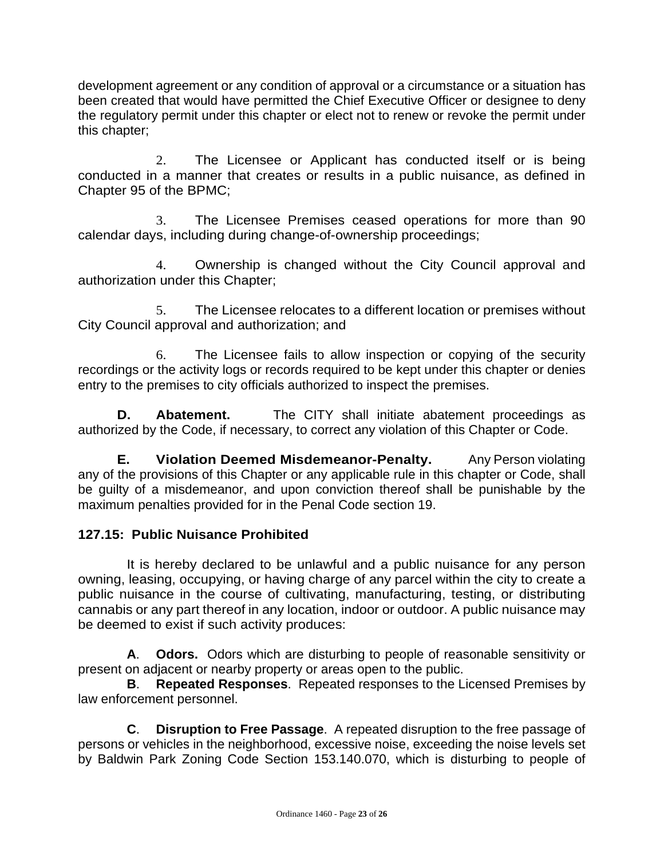development agreement or any condition of approval or a circumstance or a situation has been created that would have permitted the Chief Executive Officer or designee to deny the regulatory permit under this chapter or elect not to renew or revoke the permit under this chapter;

2. The Licensee or Applicant has conducted itself or is being conducted in a manner that creates or results in a public nuisance, as defined in Chapter 95 of the BPMC;

3. The Licensee Premises ceased operations for more than 90 calendar days, including during change-of-ownership proceedings;

4. Ownership is changed without the City Council approval and authorization under this Chapter;

5. The Licensee relocates to a different location or premises without City Council approval and authorization; and

6. The Licensee fails to allow inspection or copying of the security recordings or the activity logs or records required to be kept under this chapter or denies entry to the premises to city officials authorized to inspect the premises.

**D. Abatement.** The CITY shall initiate abatement proceedings as authorized by the Code, if necessary, to correct any violation of this Chapter or Code.

**E. Violation Deemed Misdemeanor-Penalty.** Any Person violating any of the provisions of this Chapter or any applicable rule in this chapter or Code, shall be guilty of a misdemeanor, and upon conviction thereof shall be punishable by the maximum penalties provided for in the Penal Code section 19.

## **127.15: Public Nuisance Prohibited**

It is hereby declared to be unlawful and a public nuisance for any person owning, leasing, occupying, or having charge of any parcel within the city to create a public nuisance in the course of cultivating, manufacturing, testing, or distributing cannabis or any part thereof in any location, indoor or outdoor. A public nuisance may be deemed to exist if such activity produces:

**A**. **Odors.** Odors which are disturbing to people of reasonable sensitivity or present on adjacent or nearby property or areas open to the public.

**B**. **Repeated Responses**. Repeated responses to the Licensed Premises by law enforcement personnel.

**C**. **Disruption to Free Passage**. A repeated disruption to the free passage of persons or vehicles in the neighborhood, excessive noise, exceeding the noise levels set by Baldwin Park Zoning Code Section 153.140.070, which is disturbing to people of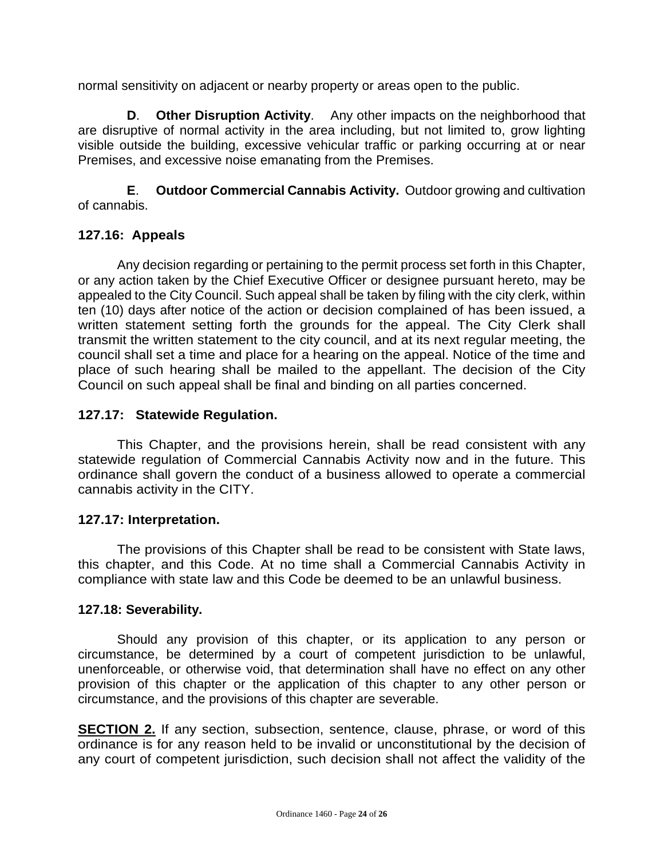normal sensitivity on adjacent or nearby property or areas open to the public.

**D**. **Other Disruption Activity**. Any other impacts on the neighborhood that are disruptive of normal activity in the area including, but not limited to, grow lighting visible outside the building, excessive vehicular traffic or parking occurring at or near Premises, and excessive noise emanating from the Premises.

**E**. **Outdoor Commercial Cannabis Activity.** Outdoor growing and cultivation of cannabis.

## **127.16: Appeals**

Any decision regarding or pertaining to the permit process set forth in this Chapter, or any action taken by the Chief Executive Officer or designee pursuant hereto, may be appealed to the City Council. Such appeal shall be taken by filing with the city clerk, within ten (10) days after notice of the action or decision complained of has been issued, a written statement setting forth the grounds for the appeal. The City Clerk shall transmit the written statement to the city council, and at its next regular meeting, the council shall set a time and place for a hearing on the appeal. Notice of the time and place of such hearing shall be mailed to the appellant. The decision of the City Council on such appeal shall be final and binding on all parties concerned.

## **127.17: Statewide Regulation.**

This Chapter, and the provisions herein, shall be read consistent with any statewide regulation of Commercial Cannabis Activity now and in the future. This ordinance shall govern the conduct of a business allowed to operate a commercial cannabis activity in the CITY.

## **127.17: Interpretation.**

The provisions of this Chapter shall be read to be consistent with State laws, this chapter, and this Code. At no time shall a Commercial Cannabis Activity in compliance with state law and this Code be deemed to be an unlawful business.

#### **127.18: Severability.**

Should any provision of this chapter, or its application to any person or circumstance, be determined by a court of competent jurisdiction to be unlawful, unenforceable, or otherwise void, that determination shall have no effect on any other provision of this chapter or the application of this chapter to any other person or circumstance, and the provisions of this chapter are severable.

**SECTION 2.** If any section, subsection, sentence, clause, phrase, or word of this ordinance is for any reason held to be invalid or unconstitutional by the decision of any court of competent jurisdiction, such decision shall not affect the validity of the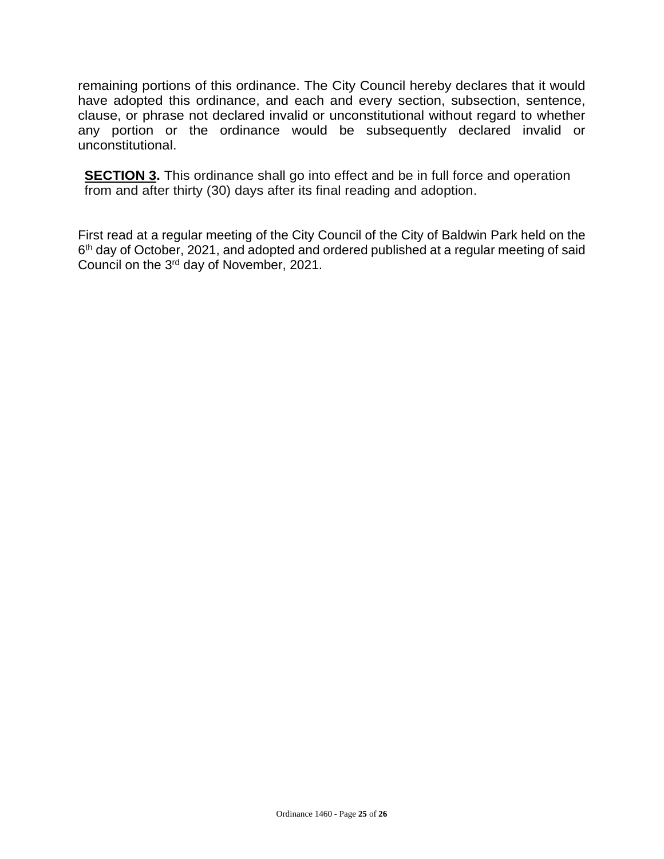remaining portions of this ordinance. The City Council hereby declares that it would have adopted this ordinance, and each and every section, subsection, sentence, clause, or phrase not declared invalid or unconstitutional without regard to whether any portion or the ordinance would be subsequently declared invalid or unconstitutional.

**SECTION 3.** This ordinance shall go into effect and be in full force and operation from and after thirty (30) days after its final reading and adoption.

First read at a regular meeting of the City Council of the City of Baldwin Park held on the 6<sup>th</sup> day of October, 2021, and adopted and ordered published at a regular meeting of said Council on the 3rd day of November, 2021.